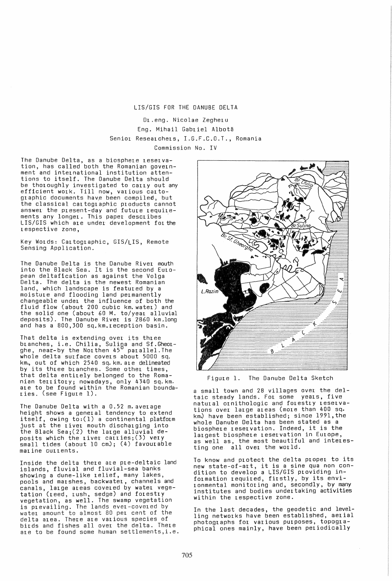## LIS/GIS FOR THE DANUBE DELTA

Dr .eng. Nicolae Zegheru Eng. Mihail Gabriel Albota Senior Researchers, I.G.F.C.D.T., Romania Commission No. IV

The Danube Delta, as a biosphere reservation, has called both the Romanian government and International institution attentions to itself. The Danube Delta should be thoroughly investigated to carry out any efficient work. Till now, various cartographic documents have been compiled, but the classIcal cartographic products cannot answer the present-day and future requirements any longer. This paper describes· LIS/GIS which are under development for the respective zone,

Key Words: Cartographic, GIS/LIS, Remote Sensing Application.

The Danube Delta is the Danube River mouth into the Black Sea. It is the second European deltafication as against the Volga Delta. The delta is the newest Romanian land, which landscape is featured by a mOIsture and flooding land permanently changeable under the influence of both the fluid flow (about 200 cubic km. water) and the solid one (about 60 M. to/year alluvial deposIts). The Danube River is 2860 km.long and has a 800,300 sq.km.reception basin.

That delta is extending over its three branches, i.e. Chilia, Sulina and Sf.Gheor-<br>ghe, near-by the Northen 45 parallel.The ghe, near-by the Northen 45 whole delta surface covers about 5000 sq. km., out of which 2540 sq. km. are delineated by its three branches. Some other times, that delta entirely belonged to the Romanian territory; nowadays, only 4340 sq. km. are to be found within the Romanian bounda-ries. (see Figure 1).

The Danube Delta with a 0.52 m.average height shows a general tendency to extend itself, owing to:(l) a continental platform just at the river mouth discharging into the Black Sea;(2) the large alluvial deposits which the river carries;(3) very small tides (about 10 cm); (4) favourable marine currents.

Inside the delta there are pre-deltaic land islands, fluvial and fluvial-sea banks showing a dune-like relief, many lakes, pools and marshes, backwater, channels and canals, large areas covered by water vegetation (reed, rush, sedge) and forestry vegetation, as well. The swamp vegetation is prevailing. The lands ever-covered by water amount to almost 80 per cent of the delta area. There are various species of birds and fishes allover the delta. There are to be found some human settlements,i.e.



Figure 1. The Danube Delta Sketch

a small town and 28 villages over the deltaic steady lands. For some years, five natural ornithologic and forestry reservations over large areas (more than 400 sq. km) have been established; since 1991,the<br>whole Danube Delta has been stated as a whole Danube Delta has been stated as biosphere reservation. Indeed, it is the largest biosphere reservation in Europe, as well as, the most beautiful and interesas well as, the most beautiful

To know and protect the delta proper to its new state-of-art, it is a sine qua non condition to develop a LIS/GIS providing information required, firstly, by its environmental monitoring and, secondly, by many institutes and bodies undertaking activities within the respective zone.

In the last decades, the geodetic and levelling networks have been established, aerial photographs for various purposes, topographical ones mainly, have been periodically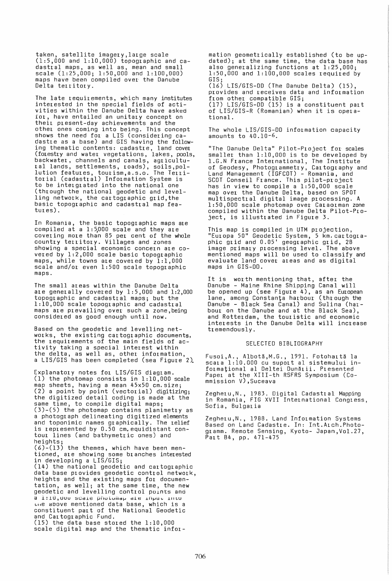taken, satellite imagery,large scale (1:5,000 and 1:10,000) topographic and cadastral maps, as well as, mean and small scale (1:25,000; 1:50,000 and 1:100,000) maps have been compiled over the Danube Delta territory.

The late requirements, which many institutes interested in the special fields of activities within the Danube Delta have asked for, have entailed an unitary concept on theil plesent-day achievements and the othel ones coming into being. This concept shows the need for a LIS (considering cadastle as a base) and GIS having the following thematic contents: cadastre, land covel (fOlestry and water vegetations, lakes, pools, backwater, channels and canals, agricultural lands, settlements, roads), soils,pollution features, tourism,a.s.o. The Telritorial (cadastral) Information System is to be intergrated into the national one (through the national geodetic and levelling network, the cartographic grid,the basic topographic and cadastral map features).

In Romania, the basic topographic maps are  $\begin{array}{l} \texttt{computed at a 1:5,000 scale and they are} \end{array}$ cover ing mOle than 85 per cent of the whole country territory. Villages and zones showing a special economic concern are covered by 1:2,000 scale basic topographic maps, while towns are covered by 1:1,000 scale and/or even 1:500 scale topographic maps.

The small areas within the Danube Delta are generally covered by  $1:5,000$  and  $1:2,000$ topographic and cadastral maps; but the 1:10,000 scale topographic and cadastral maps are prevailing over such a zone,being considered as good enough until now.

Based on the geodetic and levelling networks, the existing cartoglaphic documents, the requilements of the main fields of activity taking a special interest within the delta, as well as, other information, a LIS/GIS has been completed (sea Figure 2).

Explanatory notes for LIS/GIS diagram. (1) the photomap consists in 1:10,000 scale map sheets, having a mean 45x50 cm.size; (2) a point by point (vectorial) digitizing; the digitized detail coding is made at the same time, to compile digital maps; (3)-(5) the photomap contains planimetry as a photograph delineating digitized elements and toponimic names graphically. The relief is represented by 0.50 cm.equidistant contour lines (and bathymetric ones) and heights;

(6)-(13) the themes, which have been mentioned, ale showing some branches interested in developing a LIS/GIS;

(14) the national geodetic and cartographic data base plovides geodetic control network, heights and the existing maps for documentation, as well; at the same time, the new geodetic and levelling control points and a 1:10,000 scale photomap ale input intu<br>the above mentioned data base, which is a constituent part of the National Geodetic and Cartographic Fund. (15) the data base stored the 1:10,000 scale digital map and the thematic information geometrically established (to be updated); at the same time, the data base has also generalizing functions at 1:25,000; 1:50,000 and 1:100,000 scales required by GIS; (16) LIS/GIS-DO (The Danube Delta) (15),

provides and receives data and information from other compatible GIS; (17) LIS/GIS-DO (15) is a constituent part of LIS/GIS-R (Romanian) when it is opera~ tional.

The whole LIS/GIS-DO information capacity amounts to 40.10-6.

"The Danube Delta" Pilot-Project for scales smaller than 1:10,000 is to be developed by 1.G.N France International, The Institute of Geodesy, Photogrammetry, Caltography and Land Management (IGFCOT) - Romania, and SCOT Conseil France. This pilot-project has in view to compile a 1:50,000 scale map over the Danube Delta, based on SPOT multispectral digital image processing. A 1:50,000 scale photomap over Caraolman zone compiled within the Danube Delta Pilot-Project, is illustrated in Figure 3.

This map is compiled in UTM projection, "Eulopa 50" Geodetic System, 5 km. cartographic grid and 0.05' geographic grid, 2B image primary processing level. The above mentioned maps will be used to classify and evaluate land cover areas and as digital maps in GIS-DO.

It is worth mentioning that, after the Danube - Maine Rhine Shipping Canal will be opened up (see Figure 4), as an European lane, among Constanta harbour (through the Danube - Black Sea Canal) and Sulina (harbour on the Danube and at the Black Sea), and Rotterdam, the touristic and economic interests in the Danube Delta will increase tremendously.

## SELECTED BIBLIOGRAPHY

Fusoi, A., Albotă, M.G., 1991. Fotohaită la scala 1:10.000 cu supoit al sistemului infOlmational al Deltei DUnalii. Plesented Papel at the XIlI-th RSFRS Symposium (Commission V),Suceava

Zegheru,N., 1983. Digital Cadastral Mapping in Romania, FIG XVII International Congress, Sofia, Bulgaria

Zegheru,N., 1988. Land Information Systems Based on Land Cadastle. In: Int.A1ch.Photoglamm. Remote Sensing, Kyoto- Japan,Vol.27, Palt B4, pp. 471-475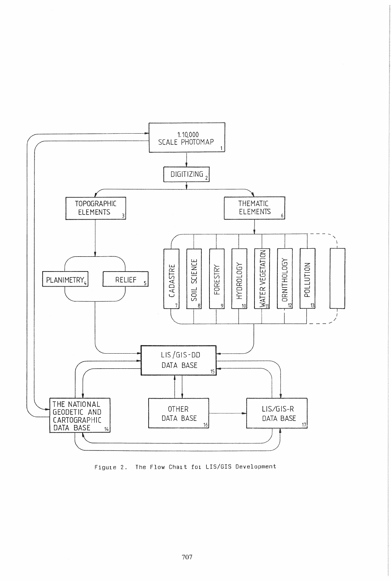

Figure 2. The Flow Chart for LIS/GIS Development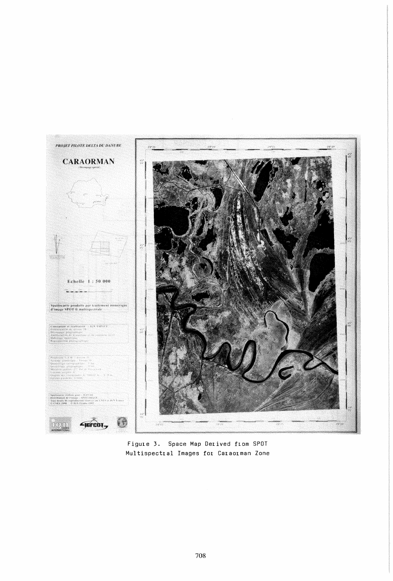

Figure 3. Space Map Derived from SPOT Multispectral Images for Caraorman Zone